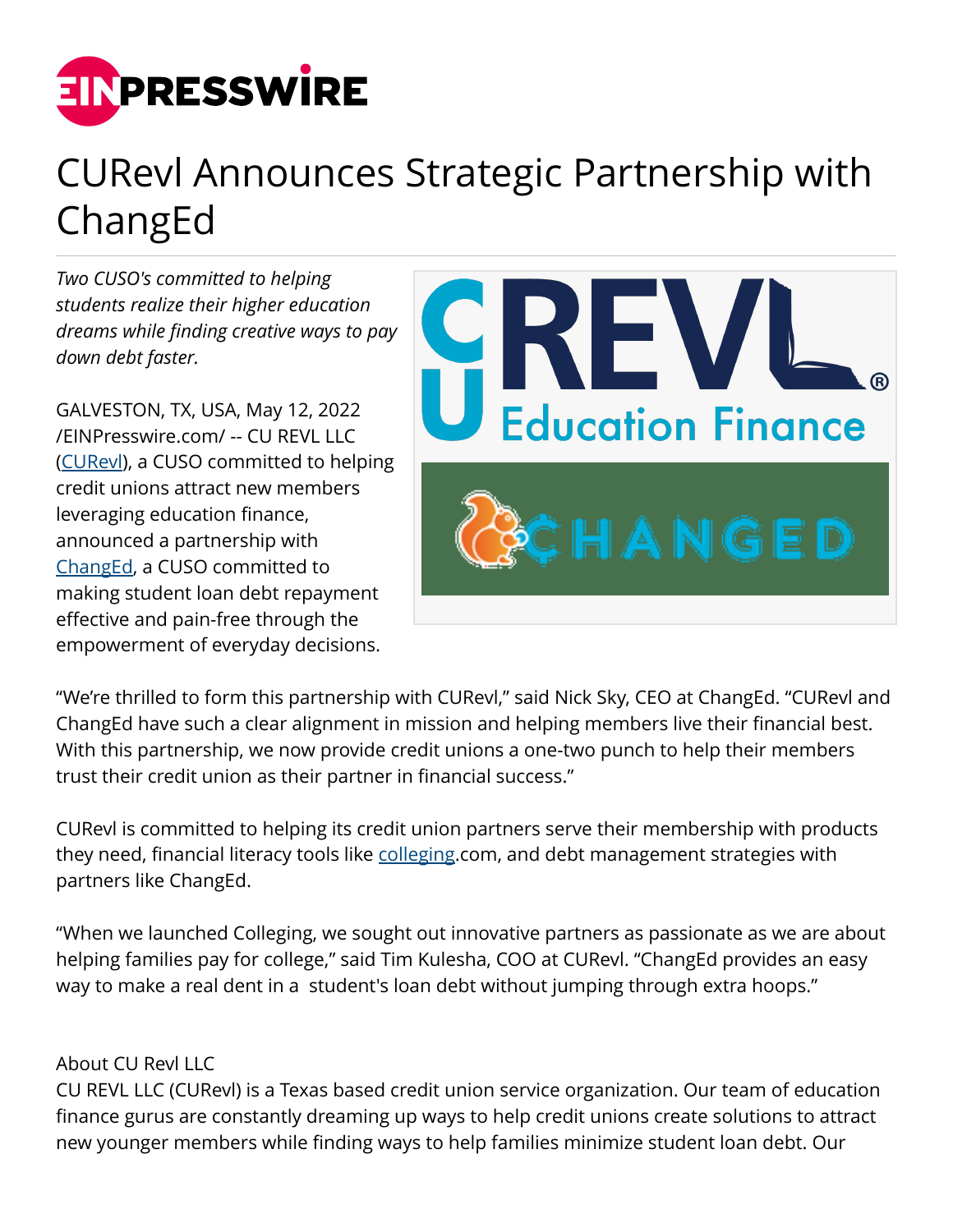

## CURevl Announces Strategic Partnership with ChangEd

*Two CUSO's committed to helping students realize their higher education dreams while finding creative ways to pay down debt faster.*

GALVESTON, TX, USA, May 12, 2022 [/EINPresswire.com/](http://www.einpresswire.com) -- CU REVL LLC ([CURevl\)](http://www.curevl.com), a CUSO committed to helping credit unions attract new members leveraging education finance, announced a partnership with [ChangEd,](http://www.gochanged.com) a CUSO committed to making student loan debt repayment effective and pain-free through the empowerment of everyday decisions.



"We're thrilled to form this partnership with CURevl," said Nick Sky, CEO at ChangEd. "CURevl and ChangEd have such a clear alignment in mission and helping members live their financial best. With this partnership, we now provide credit unions a one-two punch to help their members trust their credit union as their partner in financial success."

CURevl is committed to helping its credit union partners serve their membership with products they need, financial literacy tools like [colleging](http://www.colleging.com).com, and debt management strategies with partners like ChangEd.

"When we launched Colleging, we sought out innovative partners as passionate as we are about helping families pay for college," said Tim Kulesha, COO at CURevl. "ChangEd provides an easy way to make a real dent in a student's loan debt without jumping through extra hoops."

## About CU Revl LLC

CU REVL LLC (CURevl) is a Texas based credit union service organization. Our team of education finance gurus are constantly dreaming up ways to help credit unions create solutions to attract new younger members while finding ways to help families minimize student loan debt. Our